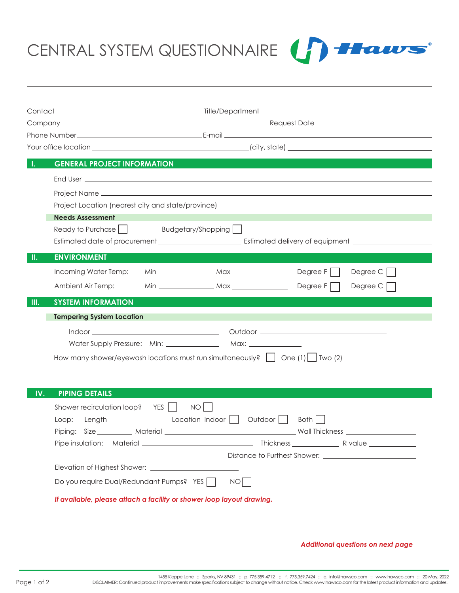CENTRAL SYSTEM QUESTIONNAIRE



|       |                                                                                                                       | Company Request Date <b>Company</b> Research Company Research Company Research Company Research Company Research Company |  |          |  |
|-------|-----------------------------------------------------------------------------------------------------------------------|--------------------------------------------------------------------------------------------------------------------------|--|----------|--|
|       |                                                                                                                       |                                                                                                                          |  |          |  |
|       |                                                                                                                       |                                                                                                                          |  |          |  |
| Л.    | <b>GENERAL PROJECT INFORMATION</b>                                                                                    |                                                                                                                          |  |          |  |
|       |                                                                                                                       |                                                                                                                          |  |          |  |
|       |                                                                                                                       |                                                                                                                          |  |          |  |
|       |                                                                                                                       |                                                                                                                          |  |          |  |
|       |                                                                                                                       |                                                                                                                          |  |          |  |
|       | <b>Needs Assessment</b>                                                                                               |                                                                                                                          |  |          |  |
|       | Ready to Purchase     Budgetary/Shopping                                                                              |                                                                                                                          |  |          |  |
|       |                                                                                                                       |                                                                                                                          |  |          |  |
| H.    | <b>ENVIRONMENT</b>                                                                                                    |                                                                                                                          |  |          |  |
|       | Incoming Water Temp:                                                                                                  |                                                                                                                          |  | Degree C |  |
|       | Ambient Air Temp:                                                                                                     |                                                                                                                          |  | Degree C |  |
| III.  | <b>SYSTEM INFORMATION</b>                                                                                             |                                                                                                                          |  |          |  |
|       | <b>Tempering System Location</b>                                                                                      |                                                                                                                          |  |          |  |
|       |                                                                                                                       |                                                                                                                          |  |          |  |
|       |                                                                                                                       |                                                                                                                          |  |          |  |
|       |                                                                                                                       |                                                                                                                          |  |          |  |
|       | How many shower/eyewash locations must run simultaneously? $\begin{pmatrix} 1 & \text{one (1)} \end{pmatrix}$ Two (2) |                                                                                                                          |  |          |  |
|       |                                                                                                                       |                                                                                                                          |  |          |  |
|       |                                                                                                                       |                                                                                                                          |  |          |  |
| IV.   | <b>PIPING DETAILS</b>                                                                                                 |                                                                                                                          |  |          |  |
|       | Shower recirculation loop? YES    <br>$NO$                                                                            |                                                                                                                          |  |          |  |
| Loop: |                                                                                                                       |                                                                                                                          |  |          |  |
|       |                                                                                                                       |                                                                                                                          |  |          |  |
|       |                                                                                                                       |                                                                                                                          |  |          |  |
|       |                                                                                                                       |                                                                                                                          |  |          |  |
|       |                                                                                                                       |                                                                                                                          |  |          |  |
|       | Do you require Dual/Redundant Pumps? YES                                                                              | NO                                                                                                                       |  |          |  |
|       | If available, please attach a facility or shower loop layout drawing.                                                 |                                                                                                                          |  |          |  |

## *Additional questions on next page*